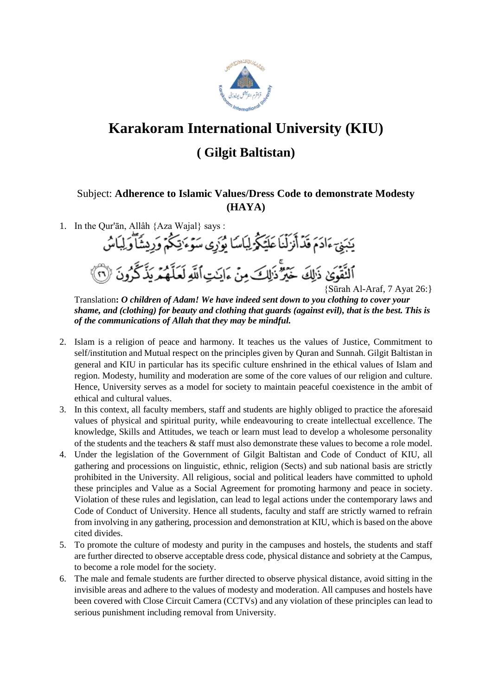

## **Karakoram International University (KIU)**

## **( Gilgit Baltistan)**

## Subject: **Adherence to Islamic Values/Dress Code to demonstrate Modesty (HAYA)**

- 1. In the Qur'ān, Allâh {Aza Wajal} says : يَبَنِيَ ءَادَمَ قَدۡأَنۡزَلۡنَا عَلَيۡكُمۡۖ لِبَاسَا يُوَرِي سَوۡءَ يَٰٓكُمۡ وَرِيشَٱوۡلِيَاسُ
	- أَلنَّقُوَىٰ ذَالِكَ خَيْرٌ ذَالِكَ مِنْ ءَايَـٰتِ}َلَّكَهِ لَحَلَّهُمُ يَذَكَّرُونَ ۞<br>{Sūrah Al-Araf, 7 Ayat 26:}

Translation**:** *O children of Adam! We have indeed sent down to you clothing to cover your shame, and (clothing) for beauty and clothing that guards (against evil), that is the best. This is of the communications of Allah that they may be mindful.*

- 2. Islam is a religion of peace and harmony. It teaches us the values of Justice, Commitment to self/institution and Mutual respect on the principles given by Quran and Sunnah. Gilgit Baltistan in general and KIU in particular has its specific culture enshrined in the ethical values of Islam and region. Modesty, humility and moderation are some of the core values of our religion and culture. Hence, University serves as a model for society to maintain peaceful coexistence in the ambit of ethical and cultural values.
- 3. In this context, all faculty members, staff and students are highly obliged to practice the aforesaid values of physical and spiritual purity, while endeavouring to create intellectual excellence. The knowledge, Skills and Attitudes, we teach or learn must lead to develop a wholesome personality of the students and the teachers & staff must also demonstrate these values to become a role model.
- 4. Under the legislation of the Government of Gilgit Baltistan and Code of Conduct of KIU, all gathering and processions on linguistic, ethnic, religion (Sects) and sub national basis are strictly prohibited in the University. All religious, social and political leaders have committed to uphold these principles and Value as a Social Agreement for promoting harmony and peace in society. Violation of these rules and legislation, can lead to legal actions under the contemporary laws and Code of Conduct of University. Hence all students, faculty and staff are strictly warned to refrain from involving in any gathering, procession and demonstration at KIU, which is based on the above cited divides.
- 5. To promote the culture of modesty and purity in the campuses and hostels, the students and staff are further directed to observe acceptable dress code, physical distance and sobriety at the Campus, to become a role model for the society.
- 6. The male and female students are further directed to observe physical distance, avoid sitting in the invisible areas and adhere to the values of modesty and moderation. All campuses and hostels have been covered with Close Circuit Camera (CCTVs) and any violation of these principles can lead to serious punishment including removal from University.